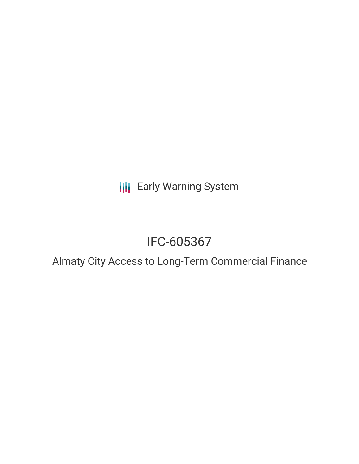**III** Early Warning System

# IFC-605367

# Almaty City Access to Long-Term Commercial Finance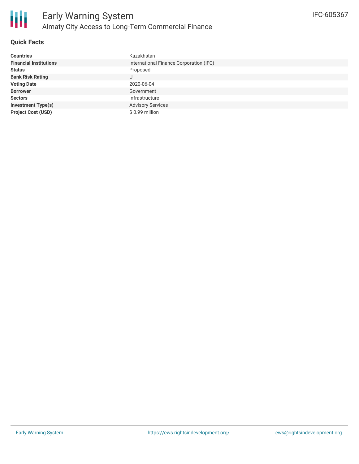## **Quick Facts**

| <b>Countries</b>              | Kazakhstan                              |
|-------------------------------|-----------------------------------------|
| <b>Financial Institutions</b> | International Finance Corporation (IFC) |
| <b>Status</b>                 | Proposed                                |
| <b>Bank Risk Rating</b>       | U                                       |
| <b>Voting Date</b>            | 2020-06-04                              |
| <b>Borrower</b>               | Government                              |
| <b>Sectors</b>                | Infrastructure                          |
| <b>Investment Type(s)</b>     | <b>Advisory Services</b>                |
| <b>Project Cost (USD)</b>     | \$0.99 million                          |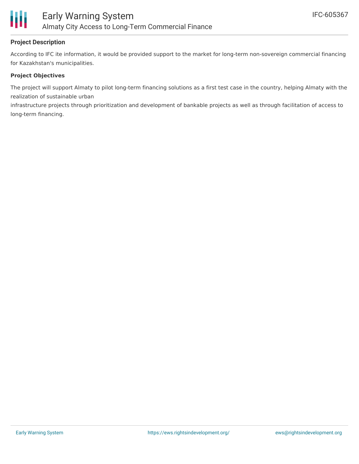

## **Project Description**

According to IFC ite information, it would be provided support to the market for long-term non-sovereign commercial financing for Kazakhstan's municipalities.

#### **Project Objectives**

The project will support Almaty to pilot long-term financing solutions as a first test case in the country, helping Almaty with the realization of sustainable urban

infrastructure projects through prioritization and development of bankable projects as well as through facilitation of access to long-term financing.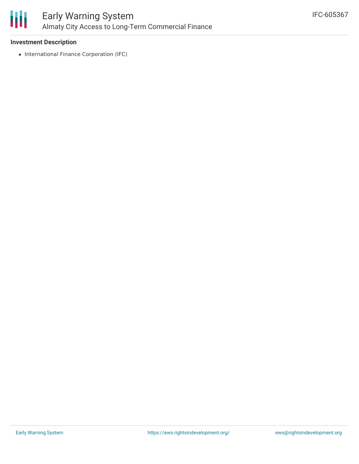

#### **Investment Description**

• International Finance Corporation (IFC)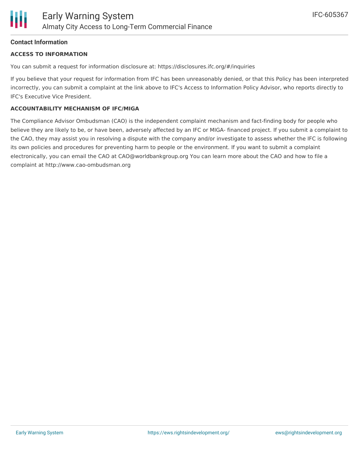## **Contact Information**

#### **ACCESS TO INFORMATION**

You can submit a request for information disclosure at: https://disclosures.ifc.org/#/inquiries

If you believe that your request for information from IFC has been unreasonably denied, or that this Policy has been interpreted incorrectly, you can submit a complaint at the link above to IFC's Access to Information Policy Advisor, who reports directly to IFC's Executive Vice President.

#### **ACCOUNTABILITY MECHANISM OF IFC/MIGA**

The Compliance Advisor Ombudsman (CAO) is the independent complaint mechanism and fact-finding body for people who believe they are likely to be, or have been, adversely affected by an IFC or MIGA- financed project. If you submit a complaint to the CAO, they may assist you in resolving a dispute with the company and/or investigate to assess whether the IFC is following its own policies and procedures for preventing harm to people or the environment. If you want to submit a complaint electronically, you can email the CAO at CAO@worldbankgroup.org You can learn more about the CAO and how to file a complaint at http://www.cao-ombudsman.org